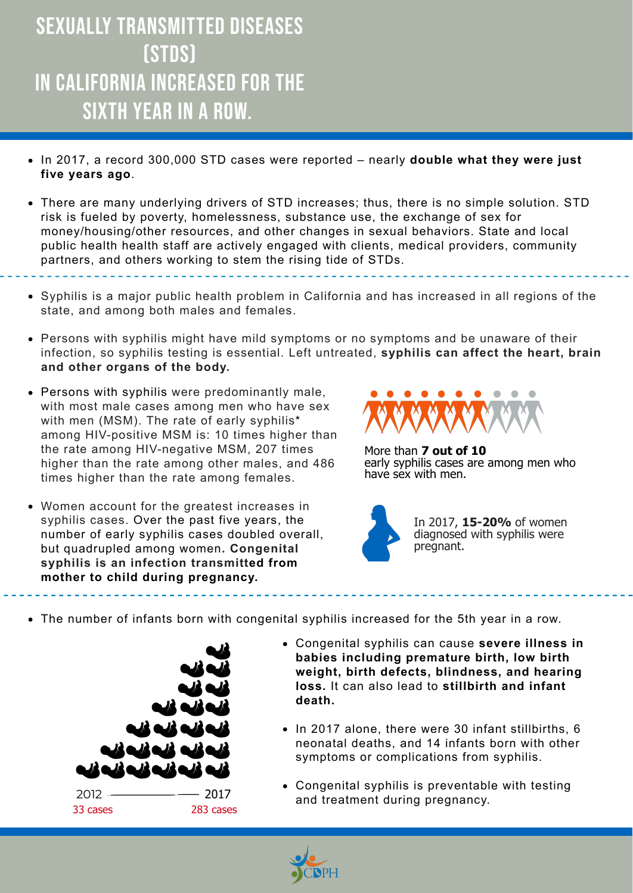- Congenital syphilis can cause **severe illness in babies including premature birth, low birth weight, birth defects, blindness, and hearing loss.** It can also lead to **stillbirth and infant death.**
- In 2017 alone, there were 30 infant stillbirths, 6 neonatal deaths, and 14 infants born with other symptoms or complications from syphilis.
- Congenital syphilis is preventable with testing 2012 — 2017 **2017** 2017 **and treatment during pregnancy**.



## Sexually transmitted diseases (STDs) in California increased for the SIXTH YEAR IN A ROW.

- In 2017, a record 300,000 STD cases were reported nearly **double what they were just five years ago**.
- There are many underlying drivers of STD increases; thus, there is no simple solution. STD risk is fueled by poverty, homelessness, substance use, the exchange of sex for money/housing/other resources, and other changes in sexual behaviors. State and local public health health staff are actively engaged with clients, medical providers, community partners, and others working to stem the rising tide of STDs.
- Syphilis is a major public health problem in California and has increased in all regions of the state, and among both males and females.

- Persons with syphilis might have mild symptoms or no symptoms and be unaware of their infection, so syphilis testing is essential. Left untreated, **syphilis can affect the heart, brain and other organs of the body.**
- Persons with syphilis were predominantly male, with most male cases among men who have sex with men (MSM). The rate of early syphilis\* among HIV-positive MSM is: 10 times higher than the rate among HIV-negative MSM, 207 times higher than the rate among other males, and 486 times higher than the rate among females.
- Women account for the greatest increases in syphilis cases. Over the past five years, the number of early syphilis cases doubled overall, but quadrupled among women**. Congenital syphilis is an infection transmitted from mother to child during pregnancy.**



The number of infants born with congenital syphilis increased for the 5th year in a row.

More than **7 out of 10** early syphilis cases are among men who have sex with men.



In 2017, **15-20%** of women diagnosed with syphilis were pregnant.